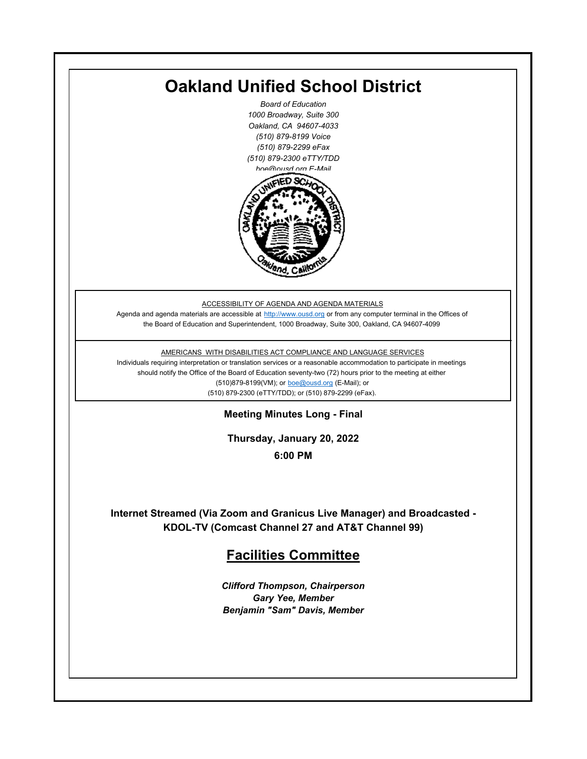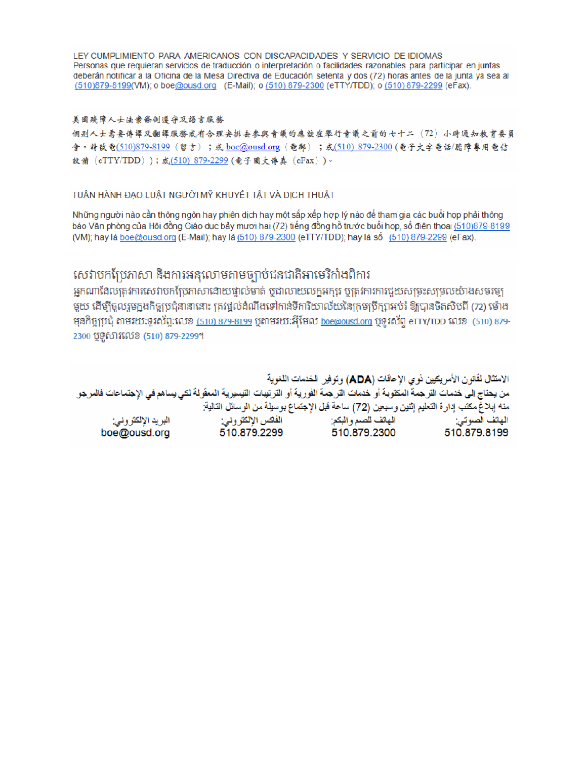LEY CUMPLIMIENTO PARA AMERICANOS CON DISCAPACIDADES Y SERVICIO DE IDIOMAS Personas que requieran servicios de traducción o interpretación o facilidades razonables para participar en juntas deberán notificar a la Oficina de la Mesa Directiva de Educación setenta y dos (72) horas antes de la junta ya sea al (510)879-8199(VM); o boe@ousd.org (E-Mail); o (510) 879-2300 (eTTY/TDD); o (510) 879-2299 (eFax).

#### 美国残障人士法案條例遵守及語言服務

個别人士需要傳譯及翻譯服務或有合理安排去參與會議的應該在舉行會議之前的七十二 (72) 小時通知教育委員 會。請致電(510)879-8199(留言);或 boe@ousd.org (電郵) ;或(510) 879-2300 (電子文字電話/聽障專用電信 設備 (eTTY/TDD));或(510)879-2299(電子圖文傳真 (eFax))。

### TUÂN HÀNH ĐẠO LUẬT NGƯỜI MỸ KHUYẾT TẤT VÀ DỊCH THUẬT

Những người nào cần thông ngôn hay phiên dịch hay một sắp xếp hợp lý nào để tham gia các buổi họp phải thông báo Văn phòng của Hội đồng Giáo dục bảy mươi hai (72) tiếng đồng hồ trước buổi họp, số điện thoại (510)879-8199 (VM); hay là boe@ousd.org (E-Mail); hay là (510) 879-2300 (eTTY/TDD); hay là số (510) 879-2299 (eFax).

## សេវាបកប្រែភាសា និងការអនុលោមតាមច្បាប់ជនជាតិអាមេរិកាំងពិការ

អកណាដែលតេវការសេវាបកប្រែភាសាដោយផ្ទាល់មាត់ ឬជាលាយលក្ខអក្សរ ឬត្រូវការការជួយសម្រះសម្រលយ៉ាងសមរម្យ មយ ដើម្បីចលរមកងកិច្ចប្រជុំនានានោះ ត្រូវផ្តល់ដំណឹងទៅកាន់ទីការិយាល័យនៃក្រមប្រឹក្សាអប់រំ ឱ្យបានចិតសិបពី (72) ម៉ោង ម្មនកិច្ចប្រជុំ តាមរយៈទូរស័ព្ទ:លេខ (<u>510) 879-8199</u> បុតាមរយៈអ៊ីមែល <u>boe@ousd.org</u> បុទ្**រ**ស័ព្ទ eTTY/TDD លេខ (510) 879-2300 ប៊ូទ្មិសារលេខ (510) 879-2299។

الامتثال لقانون الأمريكيين نو ي الإعاقات (ADA) وتوفير الخدمات اللغوية من يحتاج إلى خدمات التر جمة المكتوبة أو خدمات التر جمة الفورية أو الترتيبات التيسيرية المعفّولة لكي يساهم في الإجتماعات فالمرجو منه إبلاغ مكتب إدارة التعليم إثنين وسبعين (72) ساعة قبل الإجتماع بوسيلة من الوسائل التالية: البريد الإلكتروني: 510.879.2299 boe@ousd.org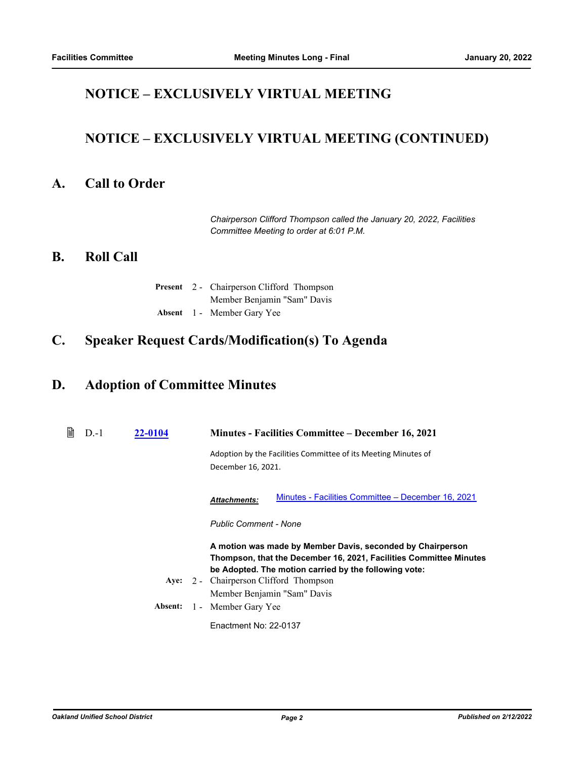# **NOTICE – EXCLUSIVELY VIRTUAL MEETING**

# **NOTICE – EXCLUSIVELY VIRTUAL MEETING (CONTINUED)**

## **A. Call to Order**

*Chairperson Clifford Thompson called the January 20, 2022, Facilities Committee Meeting to order at 6:01 P.M.*

### **B. Roll Call**

|  | <b>Present</b> 2 - Chairperson Clifford Thompson |
|--|--------------------------------------------------|
|  | Member Benjamin "Sam" Davis                      |
|  | Absent 1 - Member Gary Yee                       |

## **C. Speaker Request Cards/Modification(s) To Agenda**

### **D. Adoption of Committee Minutes**

| ₿ | $D-1$ | 22-0104 | Minutes - Facilities Committee – December 16, 2021                                                                                                                                                                                                                 |
|---|-------|---------|--------------------------------------------------------------------------------------------------------------------------------------------------------------------------------------------------------------------------------------------------------------------|
|   |       |         | Adoption by the Facilities Committee of its Meeting Minutes of<br>December 16, 2021.                                                                                                                                                                               |
|   |       |         | Minutes - Facilities Committee – December 16, 2021<br><b>Attachments:</b>                                                                                                                                                                                          |
|   |       |         | <b>Public Comment - None</b>                                                                                                                                                                                                                                       |
|   |       |         | A motion was made by Member Davis, seconded by Chairperson<br>Thompson, that the December 16, 2021, Facilities Committee Minutes<br>be Adopted. The motion carried by the following vote:<br>Aye: 2 - Chairperson Clifford Thompson<br>Member Benjamin "Sam" Davis |
|   |       | Absent: | 1 - Member Gary Yee                                                                                                                                                                                                                                                |
|   |       |         | Enactment No: 22-0137                                                                                                                                                                                                                                              |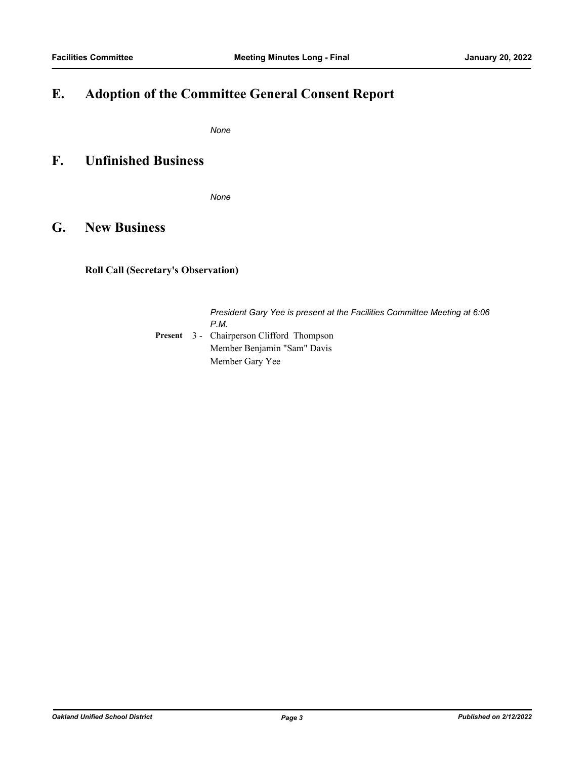# **E. Adoption of the Committee General Consent Report**

*None*

## **F. Unfinished Business**

*None*

## **G. New Business**

### **Roll Call (Secretary's Observation)**

*President Gary Yee is present at the Facilities Committee Meeting at 6:06 P.M.* Present 3 - Chairperson Clifford Thompson Member Benjamin "Sam" Davis Member Gary Yee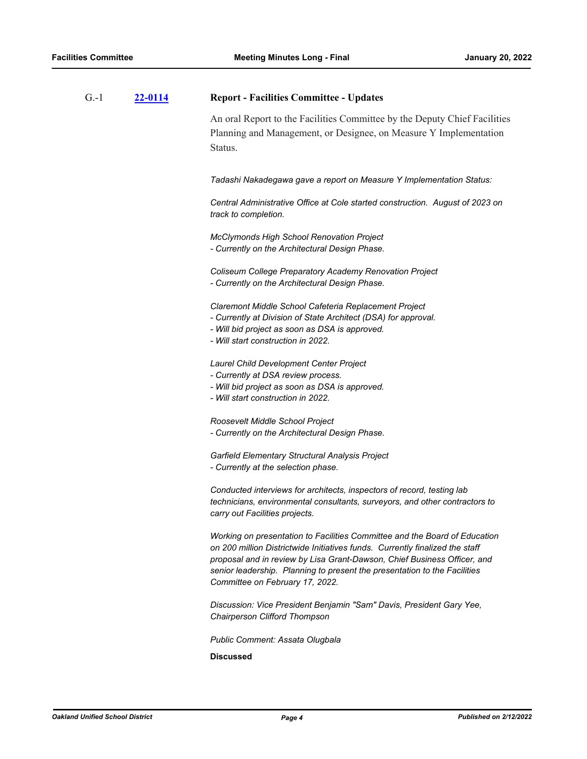| $G - 1$ | 22-0114 | <b>Report - Facilities Committee - Updates</b>                                                                                                                                                                                                                                                                                                         |
|---------|---------|--------------------------------------------------------------------------------------------------------------------------------------------------------------------------------------------------------------------------------------------------------------------------------------------------------------------------------------------------------|
|         |         | An oral Report to the Facilities Committee by the Deputy Chief Facilities<br>Planning and Management, or Designee, on Measure Y Implementation<br>Status.                                                                                                                                                                                              |
|         |         | Tadashi Nakadegawa gave a report on Measure Y Implementation Status:                                                                                                                                                                                                                                                                                   |
|         |         | Central Administrative Office at Cole started construction. August of 2023 on<br>track to completion.                                                                                                                                                                                                                                                  |
|         |         | <b>McClymonds High School Renovation Project</b><br>- Currently on the Architectural Design Phase.                                                                                                                                                                                                                                                     |
|         |         | Coliseum College Preparatory Academy Renovation Project<br>- Currently on the Architectural Design Phase.                                                                                                                                                                                                                                              |
|         |         | Claremont Middle School Cafeteria Replacement Project<br>- Currently at Division of State Architect (DSA) for approval.<br>- Will bid project as soon as DSA is approved.<br>- Will start construction in 2022.                                                                                                                                        |
|         |         | Laurel Child Development Center Project<br>- Currently at DSA review process.<br>- Will bid project as soon as DSA is approved.<br>- Will start construction in 2022.                                                                                                                                                                                  |
|         |         | Roosevelt Middle School Project<br>- Currently on the Architectural Design Phase.                                                                                                                                                                                                                                                                      |
|         |         | Garfield Elementary Structural Analysis Project<br>- Currently at the selection phase.                                                                                                                                                                                                                                                                 |
|         |         | Conducted interviews for architects, inspectors of record, testing lab<br>technicians, environmental consultants, surveyors, and other contractors to<br>carry out Facilities projects.                                                                                                                                                                |
|         |         | Working on presentation to Facilities Committee and the Board of Education<br>on 200 million Districtwide Initiatives funds. Currently finalized the staff<br>proposal and in review by Lisa Grant-Dawson, Chief Business Officer, and<br>senior leadership. Planning to present the presentation to the Facilities<br>Committee on February 17, 2022. |
|         |         | Discussion: Vice President Benjamin "Sam" Davis, President Gary Yee,<br>Chairperson Clifford Thompson                                                                                                                                                                                                                                                  |
|         |         |                                                                                                                                                                                                                                                                                                                                                        |

*Public Comment: Assata Olugbala*

**Discussed**